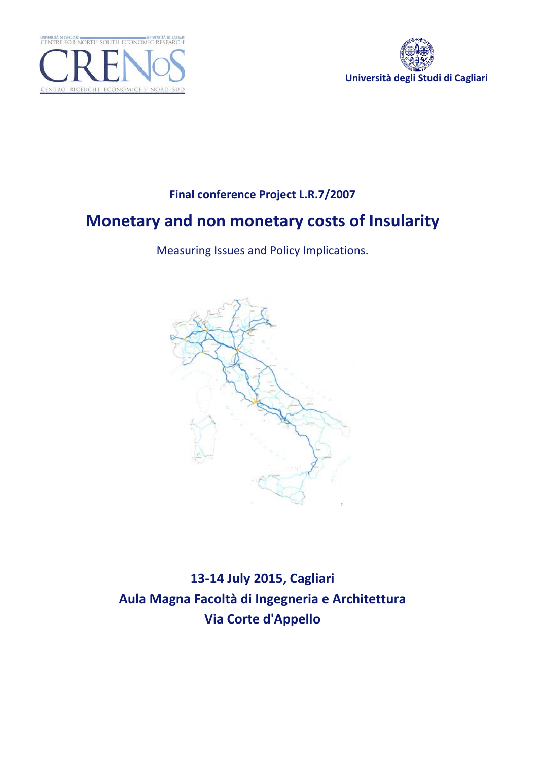



## **Final conference Project L.R.7/2007**

# **Monetary and non monetary costs of Insularity**

Measuring Issues and Policy Implications.



**13-14 July 2015, Cagliari Aula Magna Facoltà di Ingegneria e Architettura Via Corte d'Appello**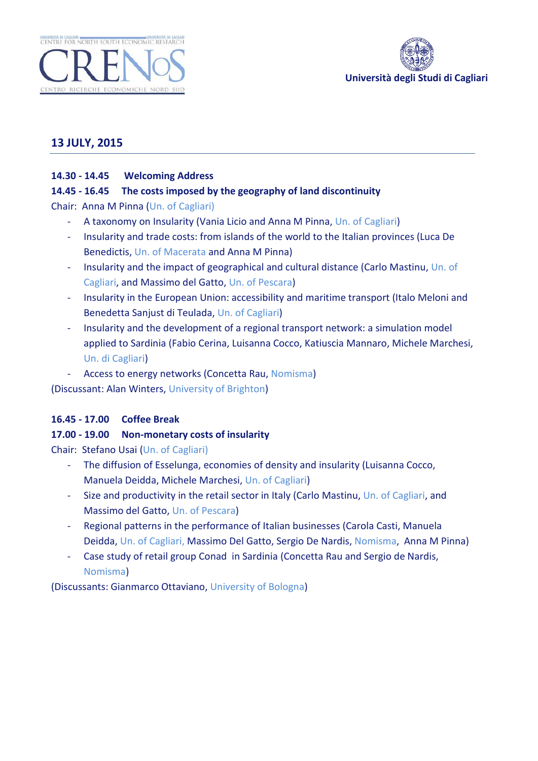



## **13 JULY, 2015**

#### **14.30 - 14.45 Welcoming Address**

#### **14.45 - 16.45 The costs imposed by the geography of land discontinuity**

Chair: Anna M Pinna (Un. of Cagliari)

- A taxonomy on Insularity (Vania Licio and Anna M Pinna, Un. of Cagliari)
- Insularity and trade costs: from islands of the world to the Italian provinces (Luca De Benedictis, Un. of Macerata and Anna M Pinna)
- Insularity and the impact of geographical and cultural distance (Carlo Mastinu, Un. of Cagliari, and Massimo del Gatto, Un. of Pescara)
- Insularity in the European Union: accessibility and maritime transport (Italo Meloni and Benedetta Sanjust di Teulada, Un. of Cagliari)
- Insularity and the development of a regional transport network: a simulation model applied to Sardinia (Fabio Cerina, Luisanna Cocco, Katiuscia Mannaro, Michele Marchesi, Un. di Cagliari)
- Access to energy networks (Concetta Rau, Nomisma)

(Discussant: Alan Winters, University of Brighton)

#### **16.45 - 17.00 Coffee Break**

#### **17.00 - 19.00 Non-monetary costs of insularity**

Chair: Stefano Usai (Un. of Cagliari)

- The diffusion of Esselunga, economies of density and insularity (Luisanna Cocco, Manuela Deidda, Michele Marchesi, Un. of Cagliari)
- Size and productivity in the retail sector in Italy (Carlo Mastinu, Un. of Cagliari, and Massimo del Gatto, Un. of Pescara)
- Regional patterns in the performance of Italian businesses (Carola Casti, Manuela Deidda, Un. of Cagliari, Massimo Del Gatto, Sergio De Nardis, Nomisma, Anna M Pinna)
- Case study of retail group Conad in Sardinia (Concetta Rau and Sergio de Nardis, Nomisma)

(Discussants: Gianmarco Ottaviano, University of Bologna)